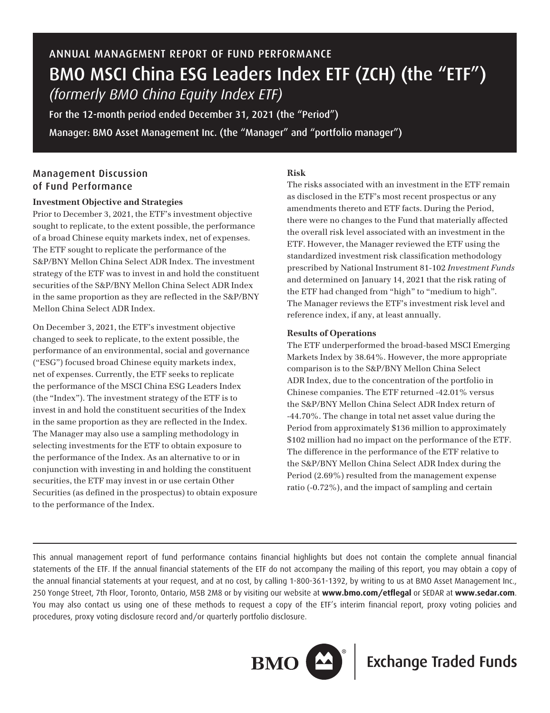# ANNUAL MANAGEMENT REPORT OF FUND PERFORMANCE BMO MSCI China ESG Leaders Index ETF (ZCH) (the "ETF") *(formerly BMO China Equity Index ETF)*

For the 12-month period ended December 31, 2021 (the "Period") Manager: BMO Asset Management Inc. (the "Manager" and "portfolio manager")

# Management Discussion of Fund Performance

# **Investment Objective and Strategies**

Prior to December 3, 2021, the ETF's investment objective sought to replicate, to the extent possible, the performance of a broad Chinese equity markets index, net of expenses. The ETF sought to replicate the performance of the S&P/BNY Mellon China Select ADR Index. The investment strategy of the ETF was to invest in and hold the constituent securities of the S&P/BNY Mellon China Select ADR Index in the same proportion as they are reflected in the S&P/BNY Mellon China Select ADR Index.

On December 3, 2021, the ETF's investment objective changed to seek to replicate, to the extent possible, the performance of an environmental, social and governance ("ESG") focused broad Chinese equity markets index, net of expenses. Currently, the ETF seeks to replicate the performance of the MSCI China ESG Leaders Index (the "Index"). The investment strategy of the ETF is to invest in and hold the constituent securities of the Index in the same proportion as they are reflected in the Index. The Manager may also use a sampling methodology in selecting investments for the ETF to obtain exposure to the performance of the Index. As an alternative to or in conjunction with investing in and holding the constituent securities, the ETF may invest in or use certain Other Securities (as defined in the prospectus) to obtain exposure to the performance of the Index.

# **Risk**

The risks associated with an investment in the ETF remain as disclosed in the ETF's most recent prospectus or any amendments thereto and ETF facts. During the Period, there were no changes to the Fund that materially affected the overall risk level associated with an investment in the ETF. However, the Manager reviewed the ETF using the standardized investment risk classification methodology prescribed by National Instrument 81-102 *Investment Funds* and determined on January 14, 2021 that the risk rating of the ETF had changed from "high" to "medium to high". The Manager reviews the ETF's investment risk level and reference index, if any, at least annually.

# **Results of Operations**

The ETF underperformed the broad-based MSCI Emerging Markets Index by 38.64%. However, the more appropriate comparison is to the S&P/BNY Mellon China Select ADR Index, due to the concentration of the portfolio in Chinese companies. The ETF returned -42.01% versus the S&P/BNY Mellon China Select ADR Index return of -44.70%. The change in total net asset value during the Period from approximately \$136 million to approximately \$102 million had no impact on the performance of the ETF. The difference in the performance of the ETF relative to the S&P/BNY Mellon China Select ADR Index during the Period (2.69%) resulted from the management expense ratio (-0.72%), and the impact of sampling and certain

This annual management report of fund performance contains financial highlights but does not contain the complete annual financial statements of the ETF. If the annual financial statements of the ETF do not accompany the mailing of this report, you may obtain a copy of the annual financial statements at your request, and at no cost, by calling 1-800-361-1392, by writing to us at BMO Asset Management Inc., 250 Yonge Street, 7th Floor, Toronto, Ontario, M5B 2M8 or by visiting our website at **www.bmo.com/etflegal** or SEDAR at **www.sedar.com**. You may also contact us using one of these methods to request a copy of the ETF's interim financial report, proxy voting policies and procedures, proxy voting disclosure record and/or quarterly portfolio disclosure.



**BMO**  $\sum^{\infty}$  Exchange Traded Funds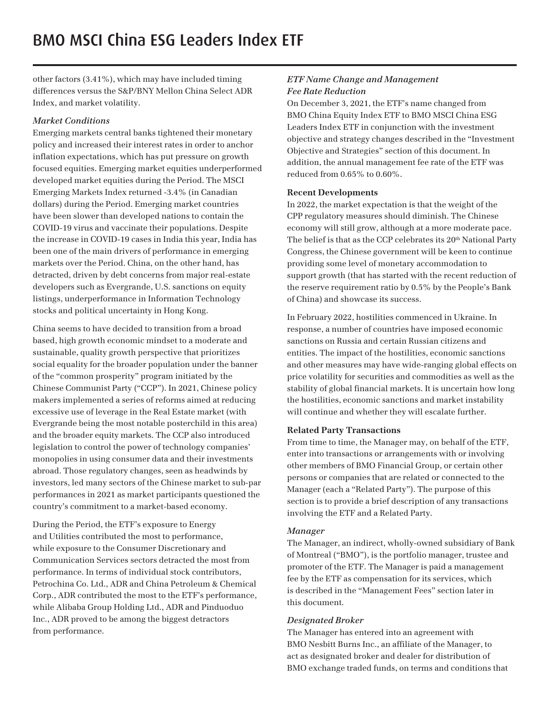other factors (3.41%), which may have included timing differences versus the S&P/BNY Mellon China Select ADR Index, and market volatility.

#### *Market Conditions*

Emerging markets central banks tightened their monetary policy and increased their interest rates in order to anchor inflation expectations, which has put pressure on growth focused equities. Emerging market equities underperformed developed market equities during the Period. The MSCI Emerging Markets Index returned -3.4% (in Canadian dollars) during the Period. Emerging market countries have been slower than developed nations to contain the COVID-19 virus and vaccinate their populations. Despite the increase in COVID-19 cases in India this year, India has been one of the main drivers of performance in emerging markets over the Period. China, on the other hand, has detracted, driven by debt concerns from major real-estate developers such as Evergrande, U.S. sanctions on equity listings, underperformance in Information Technology stocks and political uncertainty in Hong Kong.

China seems to have decided to transition from a broad based, high growth economic mindset to a moderate and sustainable, quality growth perspective that prioritizes social equality for the broader population under the banner of the "common prosperity" program initiated by the Chinese Communist Party ("CCP"). In 2021, Chinese policy makers implemented a series of reforms aimed at reducing excessive use of leverage in the Real Estate market (with Evergrande being the most notable posterchild in this area) and the broader equity markets. The CCP also introduced legislation to control the power of technology companies' monopolies in using consumer data and their investments abroad. Those regulatory changes, seen as headwinds by investors, led many sectors of the Chinese market to sub-par performances in 2021 as market participants questioned the country's commitment to a market-based economy.

During the Period, the ETF's exposure to Energy and Utilities contributed the most to performance, while exposure to the Consumer Discretionary and Communication Services sectors detracted the most from performance. In terms of individual stock contributors, Petrochina Co. Ltd., ADR and China Petroleum & Chemical Corp., ADR contributed the most to the ETF's performance, while Alibaba Group Holding Ltd., ADR and Pinduoduo Inc., ADR proved to be among the biggest detractors from performance.

# *ETF Name Change and Management Fee Rate Reduction*

On December 3, 2021, the ETF's name changed from BMO China Equity Index ETF to BMO MSCI China ESG Leaders Index ETF in conjunction with the investment objective and strategy changes described in the "Investment Objective and Strategies" section of this document. In addition, the annual management fee rate of the ETF was reduced from 0.65% to 0.60%.

#### **Recent Developments**

In 2022, the market expectation is that the weight of the CPP regulatory measures should diminish. The Chinese economy will still grow, although at a more moderate pace. The belief is that as the CCP celebrates its 20<sup>th</sup> National Party Congress, the Chinese government will be keen to continue providing some level of monetary accommodation to support growth (that has started with the recent reduction of the reserve requirement ratio by 0.5% by the People's Bank of China) and showcase its success.

In February 2022, hostilities commenced in Ukraine. In response, a number of countries have imposed economic sanctions on Russia and certain Russian citizens and entities. The impact of the hostilities, economic sanctions and other measures may have wide-ranging global effects on price volatility for securities and commodities as well as the stability of global financial markets. It is uncertain how long the hostilities, economic sanctions and market instability will continue and whether they will escalate further.

# **Related Party Transactions**

From time to time, the Manager may, on behalf of the ETF, enter into transactions or arrangements with or involving other members of BMO Financial Group, or certain other persons or companies that are related or connected to the Manager (each a "Related Party"). The purpose of this section is to provide a brief description of any transactions involving the ETF and a Related Party.

# *Manager*

The Manager, an indirect, wholly-owned subsidiary of Bank of Montreal ("BMO"), is the portfolio manager, trustee and promoter of the ETF. The Manager is paid a management fee by the ETF as compensation for its services, which is described in the "Management Fees" section later in this document.

# *Designated Broker*

The Manager has entered into an agreement with BMO Nesbitt Burns Inc., an affiliate of the Manager, to act as designated broker and dealer for distribution of BMO exchange traded funds, on terms and conditions that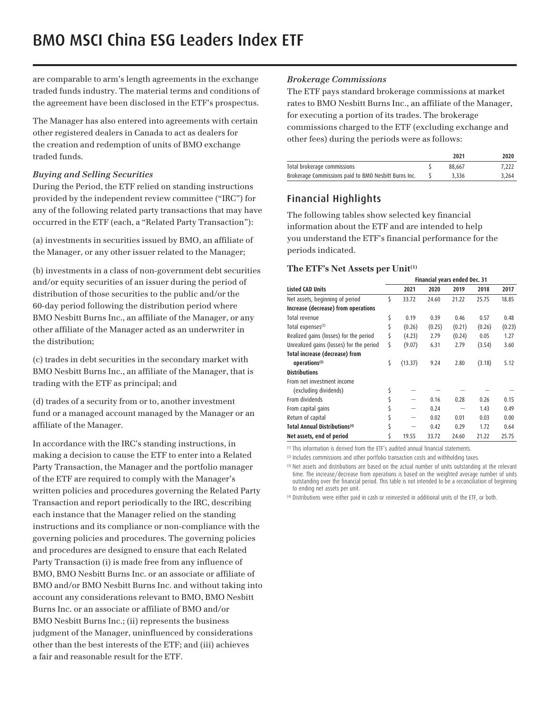are comparable to arm's length agreements in the exchange traded funds industry. The material terms and conditions of the agreement have been disclosed in the ETF's prospectus.

The Manager has also entered into agreements with certain other registered dealers in Canada to act as dealers for the creation and redemption of units of BMO exchange traded funds.

#### *Buying and Selling Securities*

During the Period, the ETF relied on standing instructions provided by the independent review committee ("IRC") for any of the following related party transactions that may have occurred in the ETF (each, a "Related Party Transaction"):

(a) investments in securities issued by BMO, an affiliate of the Manager, or any other issuer related to the Manager;

(b) investments in a class of non-government debt securities and/or equity securities of an issuer during the period of distribution of those securities to the public and/or the 60-day period following the distribution period where BMO Nesbitt Burns Inc., an affiliate of the Manager, or any other affiliate of the Manager acted as an underwriter in the distribution;

(c) trades in debt securities in the secondary market with BMO Nesbitt Burns Inc., an affiliate of the Manager, that is trading with the ETF as principal; and

(d) trades of a security from or to, another investment fund or a managed account managed by the Manager or an affiliate of the Manager.

In accordance with the IRC's standing instructions, in making a decision to cause the ETF to enter into a Related Party Transaction, the Manager and the portfolio manager of the ETF are required to comply with the Manager's written policies and procedures governing the Related Party Transaction and report periodically to the IRC, describing each instance that the Manager relied on the standing instructions and its compliance or non-compliance with the governing policies and procedures. The governing policies and procedures are designed to ensure that each Related Party Transaction (i) is made free from any influence of BMO, BMO Nesbitt Burns Inc. or an associate or affiliate of BMO and/or BMO Nesbitt Burns Inc. and without taking into account any considerations relevant to BMO, BMO Nesbitt Burns Inc. or an associate or affiliate of BMO and/or BMO Nesbitt Burns Inc.; (ii) represents the business judgment of the Manager, uninfluenced by considerations other than the best interests of the ETF; and (iii) achieves a fair and reasonable result for the ETF.

#### *Brokerage Commissions*

The ETF pays standard brokerage commissions at market rates to BMO Nesbitt Burns Inc., an affiliate of the Manager, for executing a portion of its trades. The brokerage commissions charged to the ETF (excluding exchange and other fees) during the periods were as follows:

|                                                      | 2021   | 2020  |
|------------------------------------------------------|--------|-------|
| Total brokerage commissions                          | 88.667 | 7.222 |
| Brokerage Commissions paid to BMO Nesbitt Burns Inc. | 3.336  | 3.264 |

# Financial Highlights

The following tables show selected key financial information about the ETF and are intended to help you understand the ETF's financial performance for the periods indicated.

#### **The ETF's Net Assets per Unit(1)**

|                                           | <b>Financial years ended Dec. 31</b> |         |        |        |        |        |
|-------------------------------------------|--------------------------------------|---------|--------|--------|--------|--------|
| <b>Listed CAD Units</b>                   |                                      | 2021    | 2020   | 2019   | 2018   | 2017   |
| Net assets, beginning of period           | \$                                   | 33.72   | 24.60  | 21.22  | 25.75  | 18.85  |
| Increase (decrease) from operations       |                                      |         |        |        |        |        |
| Total revenue                             | \$                                   | 0.19    | 0.39   | 0.46   | 0.57   | 0.48   |
| Total expenses <sup>(2)</sup>             | \$                                   | (0.26)  | (0.25) | (0.21) | (0.26) | (0.23) |
| Realized gains (losses) for the period    | \$                                   | (4.23)  | 2.79   | (0.24) | 0.05   | 1.27   |
| Unrealized gains (losses) for the period  | \$                                   | (9.07)  | 6.31   | 2.79   | (3.54) | 3.60   |
| Total increase (decrease) from            |                                      |         |        |        |        |        |
| operations <sup>(3)</sup>                 | \$                                   | (13.37) | 9.24   | 2.80   | (3.18) | 5.12   |
| <b>Distributions</b>                      |                                      |         |        |        |        |        |
| From net investment income                |                                      |         |        |        |        |        |
| (excluding dividends)                     | \$                                   |         |        |        |        |        |
| From dividends                            | \$                                   |         | 0.16   | 0.28   | 0.26   | 0.15   |
| From capital gains                        | \$                                   |         | 0.24   |        | 1.43   | 0.49   |
| Return of capital                         | \$                                   |         | 0.02   | 0.01   | 0.03   | 0.00   |
| Total Annual Distributions <sup>(4)</sup> |                                      |         | 0.42   | 0.29   | 1.72   | 0.64   |
| Net assets, end of period                 | \$                                   | 19.55   | 33.72  | 24.60  | 21.22  | 25.75  |

(1) This information is derived from the ETF's audited annual financial statements.

<sup>(2)</sup> Includes commissions and other portfolio transaction costs and withholding taxes.

<sup>(3)</sup> Net assets and distributions are based on the actual number of units outstanding at the relevant time. The increase/decrease from operations is based on the weighted average number of units outstanding over the financial period. This table is not intended to be a reconciliation of beginning to ending net assets per unit.

(4) Distributions were either paid in cash or reinvested in additional units of the ETF, or both.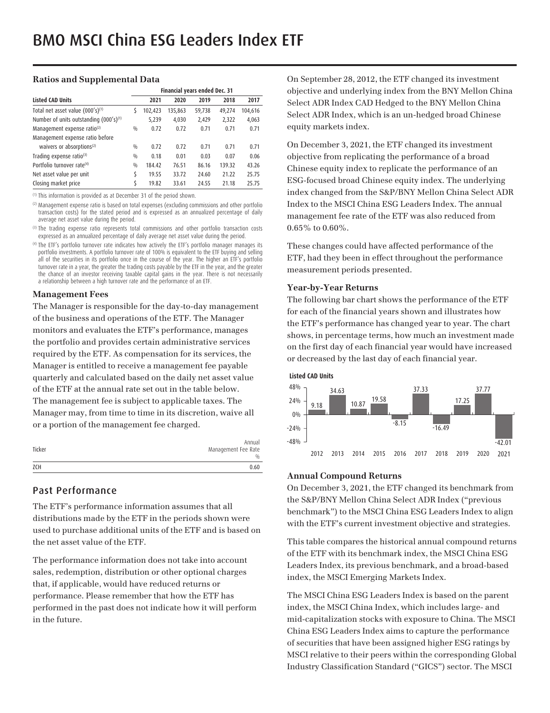#### **Ratios and Supplemental Data**

|                                         | Financial years ended Dec. 31 |         |         |        |        |         |
|-----------------------------------------|-------------------------------|---------|---------|--------|--------|---------|
| <b>Listed CAD Units</b>                 |                               | 2021    | 2020    | 2019   | 2018   | 2017    |
| Total net asset value (000's)(1)        | S                             | 102,423 | 135,863 | 59,738 | 49,274 | 104,616 |
| Number of units outstanding (000's)(1)  |                               | 5,239   | 4,030   | 2,429  | 2,322  | 4,063   |
| Management expense ratio <sup>(2)</sup> | 0/0                           | 0.72    | 0.72    | 0.71   | 0.71   | 0.71    |
| Management expense ratio before         |                               |         |         |        |        |         |
| waivers or absorptions <sup>(2)</sup>   | $\frac{0}{0}$                 | 0.72    | 0.72    | 0.71   | 0.71   | 0.71    |
| Trading expense ratio(3)                | $\frac{0}{0}$                 | 0.18    | 0.01    | 0.03   | 0.07   | 0.06    |
| Portfolio turnover rate <sup>(4)</sup>  | 0/0                           | 184.42  | 76.51   | 86.16  | 139.32 | 43.26   |
| Net asset value per unit                | \$                            | 19.55   | 33.72   | 24.60  | 21.22  | 25.75   |
| Closing market price                    | Ś                             | 19.82   | 33.61   | 24.55  | 21.18  | 25.75   |

(1) This information is provided as at December 31 of the period shown.

(2) Management expense ratio is based on total expenses (excluding commissions and other portfolio transaction costs) for the stated period and is expressed as an annualized percentage of daily average net asset value during the period.

<sup>(3)</sup> The trading expense ratio represents total commissions and other portfolio transaction costs expressed as an annualized percentage of daily average net asset value during the period.

(4) The ETF's portfolio turnover rate indicates how actively the ETF's portfolio manager manages its portfolio investments. A portfolio turnover rate of 100% is equivalent to the ETF buying and selling all of the securities in its portfolio once in the course of the year. The higher an ETF's portfolio turnover rate in a year, the greater the trading costs payable by the ETF in the year, and the greater the chance of an investor receiving taxable capital gains in the year. There is not necessarily a relationship between a high turnover rate and the performance of an ETF.

#### **Management Fees**

The Manager is responsible for the day-to-day management of the business and operations of the ETF. The Manager monitors and evaluates the ETF's performance, manages the portfolio and provides certain administrative services required by the ETF. As compensation for its services, the Manager is entitled to receive a management fee payable quarterly and calculated based on the daily net asset value of the ETF at the annual rate set out in the table below. The management fee is subject to applicable taxes. The Manager may, from time to time in its discretion, waive all or a portion of the management fee charged.

|        | Annual              |
|--------|---------------------|
| Ticker | Management Fee Rate |
|        | $\frac{0}{0}$       |
| ZCH    | 0.60                |

# Past Performance

The ETF's performance information assumes that all distributions made by the ETF in the periods shown were used to purchase additional units of the ETF and is based on the net asset value of the ETF.

The performance information does not take into account sales, redemption, distribution or other optional charges that, if applicable, would have reduced returns or performance. Please remember that how the ETF has performed in the past does not indicate how it will perform in the future.

On September 28, 2012, the ETF changed its investment objective and underlying index from the BNY Mellon China Select ADR Index CAD Hedged to the BNY Mellon China Select ADR Index, which is an un-hedged broad Chinese equity markets index.

On December 3, 2021, the ETF changed its investment objective from replicating the performance of a broad Chinese equity index to replicate the performance of an ESG-focused broad Chinese equity index. The underlying index changed from the S&P/BNY Mellon China Select ADR Index to the MSCI China ESG Leaders Index. The annual management fee rate of the ETF was also reduced from 0.65% to 0.60%.

These changes could have affected performance of the ETF, had they been in effect throughout the performance measurement periods presented.

#### **Year-by-Year Returns**

The following bar chart shows the performance of the ETF for each of the financial years shown and illustrates how the ETF's performance has changed year to year. The chart shows, in percentage terms, how much an investment made on the first day of each financial year would have increased or decreased by the last day of each financial year.



# **Annual Compound Returns**

On December 3, 2021, the ETF changed its benchmark from the S&P/BNY Mellon China Select ADR Index ("previous benchmark") to the MSCI China ESG Leaders Index to align with the ETF's current investment objective and strategies.

This table compares the historical annual compound returns of the ETF with its benchmark index, the MSCI China ESG Leaders Index, its previous benchmark, and a broad-based index, the MSCI Emerging Markets Index.

The MSCI China ESG Leaders Index is based on the parent index, the MSCI China Index, which includes large- and mid-capitalization stocks with exposure to China. The MSCI China ESG Leaders Index aims to capture the performance of securities that have been assigned higher ESG ratings by MSCI relative to their peers within the corresponding Global Industry Classification Standard ("GICS") sector. The MSCI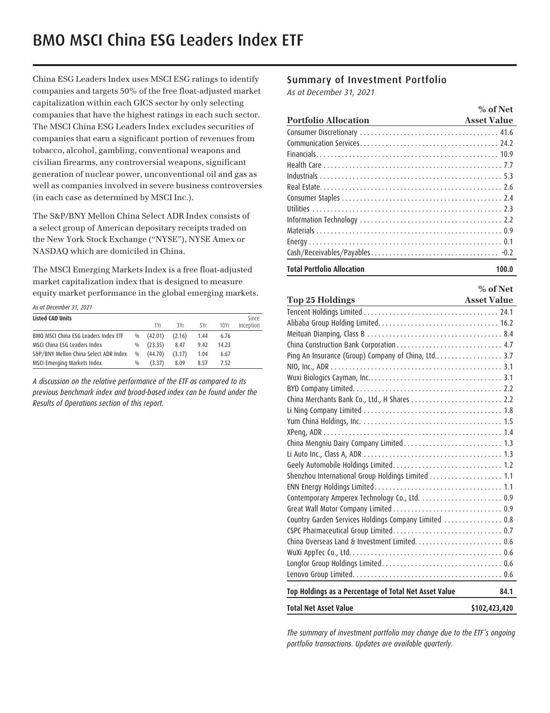China ESG Leaders Index uses MSCI ESG ratings to identify companies and targets 50% of the free float-adjusted market capitalization within each GICS sector by only selecting companies that have the highest ratings in each such sector. The MSCI China ESG Leaders Index excludes securities of companies that earn a significant portion of revenues from tobacco, alcohol, gambling, conventional weapons and civilian firearms, any controversial weapons, significant generation of nuclear power, unconventional oil and gas as well as companies involved in severe business controversies (in each case as determined by MSCI Inc.).

The S&P/BNY Mellon China Select ADR Index consists of a select group of American depositary receipts traded on the New York Stock Exchange ("NYSE"), NYSE Amex or NASDAQ which are domiciled in China.

The MSCI Emerging Markets Index is a free float-adjusted market capitalization index that is designed to measure equity market performance in the global emerging markets.

*As at December 31, 2021*

| As at December 31, 2021               |               |         |        |      |       |           |
|---------------------------------------|---------------|---------|--------|------|-------|-----------|
| <b>Listed CAD Units</b>               |               |         |        |      |       | Since     |
|                                       |               | 1Yr     | 3Yr    | 5Yr  | 10Yr  | Inception |
| BMO MSCI China ESG Leaders Index ETF  | $\frac{0}{0}$ | (42.01) | (2.16) | 1.44 | 6.76  |           |
| MSCI China ESG Leaders Index          | $\%$          | (23.35) | 8.47   | 9.42 | 14.23 |           |
| S&P/BNY Mellon China Select ADR Index | 0/0           | (44.70) | (3.17) | 1.04 | 6.67  |           |
| MSCI Emerging Markets Index           | $\frac{0}{0}$ | (3.37)  | 8.09   | 8.57 | 7.52  |           |

*A discussion on the relative performance of the ETF as compared to its previous benchmark index and broad-based index can be found under the Results of Operations section of this report.* 

# Summary of Investment Portfolio

*As at December 31, 2021*

|                             | $%$ of Net         |
|-----------------------------|--------------------|
| <b>Portfolio Allocation</b> | <b>Asset Value</b> |
|                             |                    |
|                             |                    |
|                             |                    |
|                             |                    |
|                             |                    |
|                             |                    |
|                             |                    |
|                             |                    |
|                             |                    |
|                             |                    |
|                             |                    |
|                             |                    |
|                             |                    |

#### **Total Portfolio Allocation 100.0**

|                                                                    | $%$ of Net         |
|--------------------------------------------------------------------|--------------------|
| <b>Top 25 Holdings</b><br><u> 1980 - Johann Barbara, martxa al</u> | <b>Asset Value</b> |
|                                                                    |                    |
|                                                                    |                    |
|                                                                    |                    |
|                                                                    |                    |
|                                                                    |                    |
|                                                                    |                    |
|                                                                    |                    |
|                                                                    |                    |
|                                                                    |                    |
|                                                                    |                    |
|                                                                    |                    |
|                                                                    |                    |
|                                                                    |                    |
|                                                                    |                    |
|                                                                    |                    |
| Shenzhou International Group Holdings Limited 1.1                  |                    |
|                                                                    |                    |
|                                                                    |                    |
|                                                                    |                    |
| Country Garden Services Holdings Company Limited  0.8              |                    |
|                                                                    |                    |
|                                                                    |                    |
|                                                                    |                    |
|                                                                    |                    |
|                                                                    |                    |
| Top Holdings as a Percentage of Total Net Asset Value              | 84.1               |
| <b>Total Net Asset Value</b>                                       | \$102,423,420      |

*The summary of investment portfolio may change due to the ETF's ongoing portfolio transactions. Updates are available quarterly.*